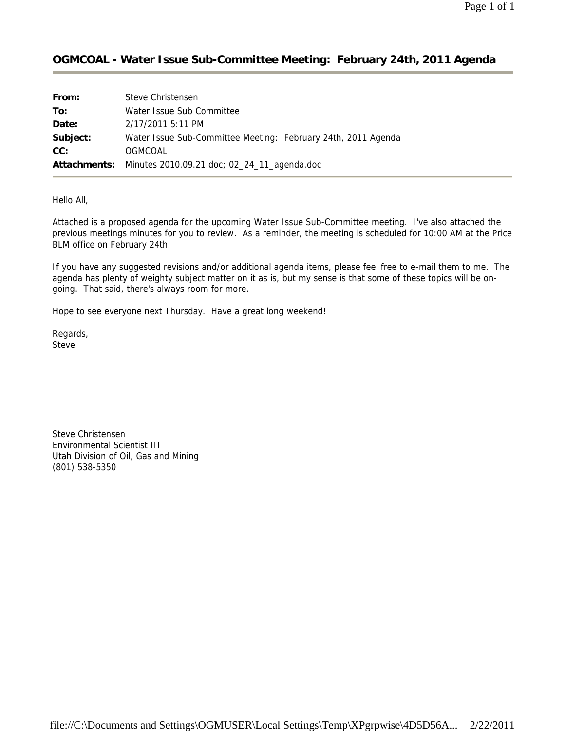### **OGMCOAL - Water Issue Sub-Committee Meeting: February 24th, 2011 Agenda**

| From:    | Steve Christensen                                             |
|----------|---------------------------------------------------------------|
| To:      | Water Issue Sub Committee                                     |
| Date:    | 2/17/2011 5:11 PM                                             |
| Subject: | Water Issue Sub-Committee Meeting: February 24th, 2011 Agenda |
| CC:      | OGMCOAL                                                       |
|          | Attachments: Minutes 2010.09.21.doc; 02_24_11_agenda.doc      |

Hello All,

Attached is a proposed agenda for the upcoming Water Issue Sub-Committee meeting. I've also attached the previous meetings minutes for you to review. As a reminder, the meeting is scheduled for 10:00 AM at the Price BLM office on February 24th.

If you have any suggested revisions and/or additional agenda items, please feel free to e-mail them to me. The agenda has plenty of weighty subject matter on it as is, but my sense is that some of these topics will be ongoing. That said, there's always room for more.

Hope to see everyone next Thursday. Have a great long weekend!

Regards, Steve

Steve Christensen Environmental Scientist III Utah Division of Oil, Gas and Mining (801) 538-5350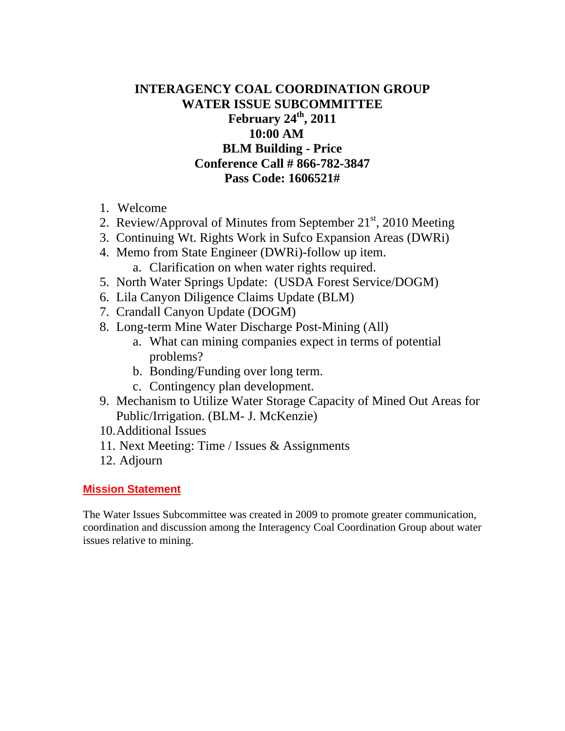# **INTERAGENCY COAL COORDINATION GROUP WATER ISSUE SUBCOMMITTEE February 24th, 2011 10:00 AM BLM Building - Price Conference Call # 866-782-3847 Pass Code: 1606521#**

- 1. Welcome
- 2. Review/Approval of Minutes from September  $21<sup>st</sup>$ , 2010 Meeting
- 3. Continuing Wt. Rights Work in Sufco Expansion Areas (DWRi)
- 4. Memo from State Engineer (DWRi)-follow up item. a. Clarification on when water rights required.
- 5. North Water Springs Update: (USDA Forest Service/DOGM)
- 6. Lila Canyon Diligence Claims Update (BLM)
- 7. Crandall Canyon Update (DOGM)
- 8. Long-term Mine Water Discharge Post-Mining (All)
	- a. What can mining companies expect in terms of potential problems?
	- b. Bonding/Funding over long term.
	- c. Contingency plan development.
- 9. Mechanism to Utilize Water Storage Capacity of Mined Out Areas for Public/Irrigation. (BLM- J. McKenzie)
- 10.Additional Issues
- 11. Next Meeting: Time / Issues & Assignments
- 12. Adjourn

### **Mission Statement**

The Water Issues Subcommittee was created in 2009 to promote greater communication, coordination and discussion among the Interagency Coal Coordination Group about water issues relative to mining.